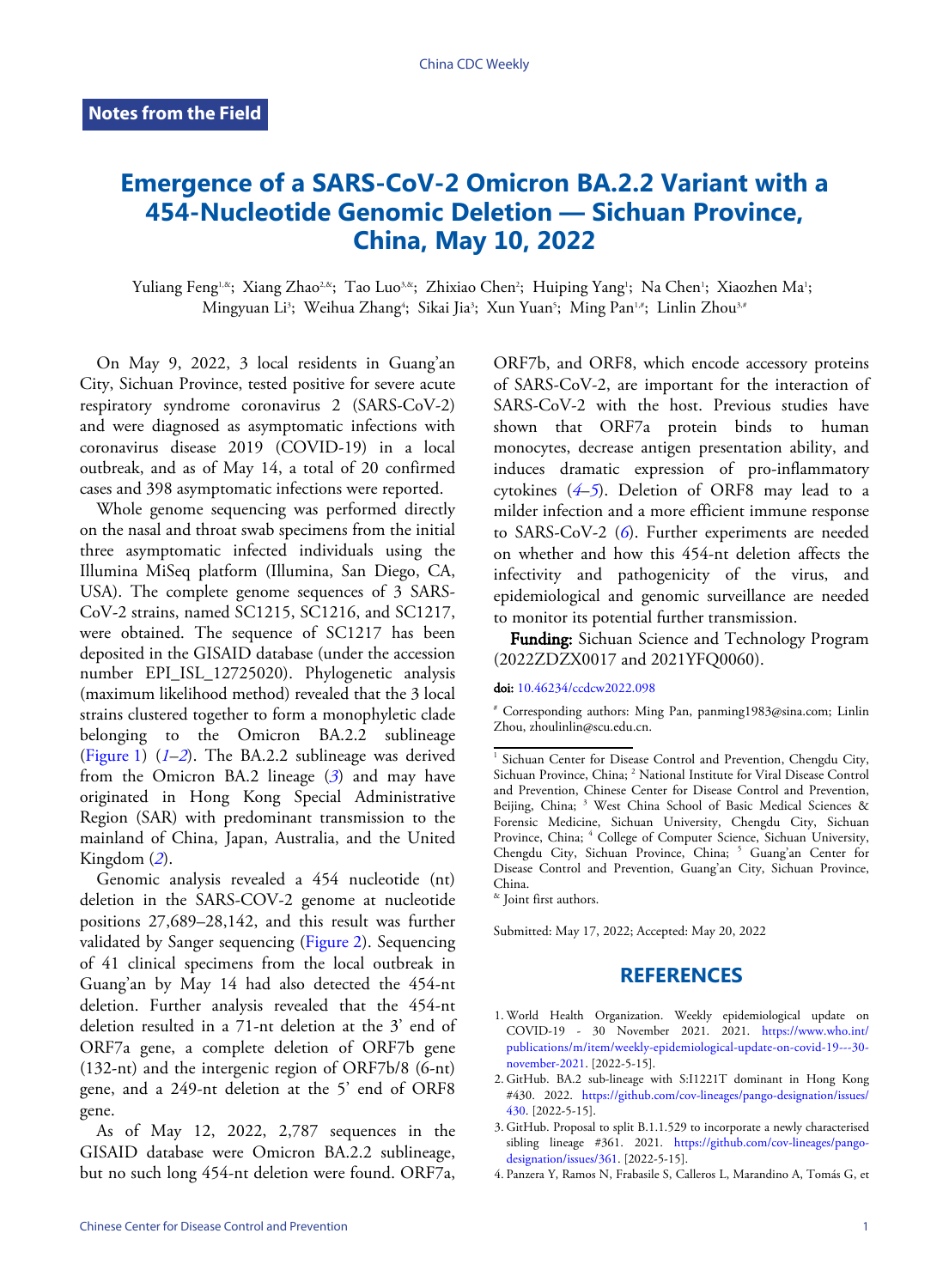# **Emergence of a SARS-CoV-2 Omicron BA.2.2 Variant with a 454-Nucleotide Genomic Deletion — Sichuan Province, China, May 10, 2022**

Yuliang Feng<sup>1,&</sup>; Xiang Zhao<sup>2,&</sup>; Tao Luo<sup>3,&</sup>; Zhixiao Chen<sup>2</sup>; Huiping Yang'; Na Chen'; Xiaozhen Ma'; Mingyuan Li<sup>3</sup>; Weihua Zhang<sup>4</sup>; Sikai Jia<sup>3</sup>; Xun Yuan<sup>5</sup>; Ming Pan<sup>1,#</sup>; Linlin Zhou<sup>3,#</sup>

On May 9, 2022, 3 local residents in Guang'an City, Sichuan Province, tested positive for severe acute respiratory syndrome coronavirus 2 (SARS-CoV-2) and were diagnosed as asymptomatic infections with coronavirus disease 2019 (COVID-19) in a local outbreak, and as of May 14, a total of 20 confirmed cases and 398 asymptomatic infections were reported.

Whole genome sequencing was performed directly on the nasal and throat swab specimens from the initial three asymptomatic infected individuals using the Illumina MiSeq platform (Illumina, San Diego, CA, USA). The complete genome sequences of 3 SARS-CoV-2 strains, named SC1215, SC1216, and SC1217, were obtained. The sequence of SC1217 has been deposited in the GISAID database (under the accession number EPI\_ISL\_12725020). Phylogenetic analysis (maximum likelihood method) revealed that the 3 local strains clustered together to form a monophyletic clade belonging to the Omicron BA.2.2 sublineage ([Figure 1](#page-1-0)) (*[1](#page-0-0)*–*[2](#page-0-1)*). The BA.2.2 sublineage was derived from the Omicron BA.2 lineage (*[3](#page-0-2)*) and may have originated in Hong Kong Special Administrative Region (SAR) with predominant transmission to the mainland of China, Japan, Australia, and the United Kingdom (*[2](#page-0-1)*).

Genomic analysis revealed a 454 nucleotide (nt) deletion in the SARS-COV-2 genome at nucleotide positions 27,689–28,142, and this result was further validated by Sanger sequencing [\(Figure 2\)](#page-2-0). Sequencing of 41 clinical specimens from the local outbreak in Guang'an by May 14 had also detected the 454-nt deletion. Further analysis revealed that the 454-nt deletion resulted in a 71-nt deletion at the 3' end of ORF7a gene, a complete deletion of ORF7b gene (132-nt) and the intergenic region of ORF7b/8 (6-nt) gene, and a 249-nt deletion at the 5' end of ORF8 gene.

As of May 12, 2022, 2,787 sequences in the GISAID database were Omicron BA.2.2 sublineage, but no such long 454-nt deletion were found. ORF7a,

ORF7b, and ORF8, which encode accessory proteins of SARS-CoV-2, are important for the interaction of SARS-CoV-2 with the host. Previous studies have shown that ORF7a protein binds to human monocytes, decrease antigen presentation ability, and induces dramatic expression of pro-inflammatory cytokines (*[4](#page-0-3)*–*[5](#page-2-1)*). Deletion of ORF8 may lead to a milder infection and a more efficient immune response to SARS-CoV-2 (*[6](#page-2-2)*). Further experiments are needed on whether and how this 454-nt deletion affects the infectivity and pathogenicity of the virus, and epidemiological and genomic surveillance are needed to monitor its potential further transmission.

Funding: Sichuan Science and Technology Program (2022ZDZX0017 and 2021YFQ0060).

### doi: [10.46234/ccdcw2022.098](https://doi.org/10.46234/ccdcw2022.098)

# Corresponding authors: Ming Pan, panming1983@sina.com; Linlin Zhou, zhoulinlin@scu.edu.cn.

Submitted: May 17, 2022; Accepted: May 20, 2022

## **REFERENCES**

- <span id="page-0-0"></span>World Health Organization. Weekly epidem[iological update on](https://www.who.int/publications/m/item/weekly-epidemiological-update-on-covid-19---30-november-2021) 1. [COVID-19 - 30 November 2021. 2021.](https://www.who.int/publications/m/item/weekly-epidemiological-update-on-covid-19---30-november-2021) [https://www.who.int/](https://www.who.int/publications/m/item/weekly-epidemiological-update-on-covid-19---30-november-2021) [publications/m/item/weekly-epidemiological-update-on-covid-19---30](https://www.who.int/publications/m/item/weekly-epidemiological-update-on-covid-19---30-november-2021) [november-2021.](https://www.who.int/publications/m/item/weekly-epidemiological-update-on-covid-19---30-november-2021) [2022-5-15].
- <span id="page-0-1"></span>2. GitHub. BA.2 sub-lineage with S:I1221T dominant in Hong Kong [#430](https://github.com/cov-lineages/pango-designation/issues/430). 2022. [https://github.com/cov-lineages/pango-designation/issues/](https://github.com/cov-lineages/pango-designation/issues/430) [430.](https://github.com/cov-lineages/pango-designation/issues/430) [2022-5-15].
- <span id="page-0-2"></span>GitHub. Proposal to split B.1.1.5[29 to incorporate a newly characterised](https://github.com/cov-lineages/pango-designation/issues/361) 3. sibling lineage #361. 2021. [https://github.com/cov-lineages/pango](https://github.com/cov-lineages/pango-designation/issues/361)[designation/issues/361](https://github.com/cov-lineages/pango-designation/issues/361). [2022-5-15].
- <span id="page-0-3"></span>4. Panzera Y, Ramos N, Frabasile S, Calleros L, Marandino A, Tomás G, et

<sup>&</sup>lt;sup>1</sup> Sichuan Center for Disease Control and Prevention, Chengdu City, Sichuan Province, China; <sup>2</sup> National Institute for Viral Disease Control and Prevention, Chinese Center for Disease Control and Prevention, Beijing, China; <sup>3</sup> West China School of Basic Medical Sciences & Forensic Medicine, Sichuan University, Chengdu City, Sichuan Province, China; <sup>4</sup> College of Computer Science, Sichuan University, Chengdu City, Sichuan Province, China; <sup>5</sup> Guang'an Center for Disease Control and Prevention, Guang'an City, Sichuan Province, China.

<sup>&</sup>amp; Joint first authors.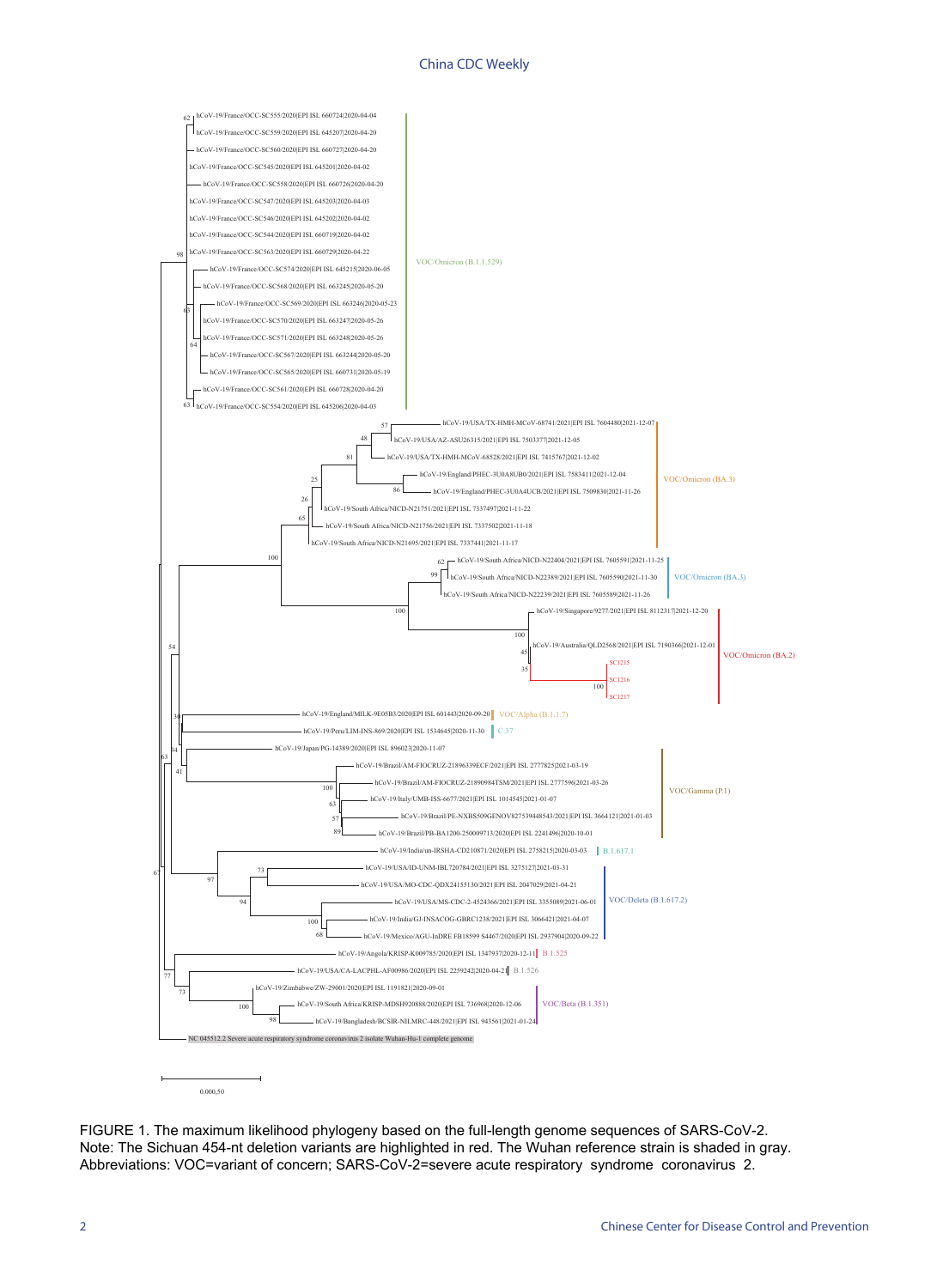## China CDC Weekly

<span id="page-1-0"></span>

FIGURE 1. The maximum likelihood phylogeny based on the full-length genome sequences of SARS-CoV-2. Note: The Sichuan 454-nt deletion variants are highlighted in red. The Wuhan reference strain is shaded in gray. Abbreviations: VOC=variant of concern; SARS-CoV-2=severe acute respiratory syndrome coronavirus 2.